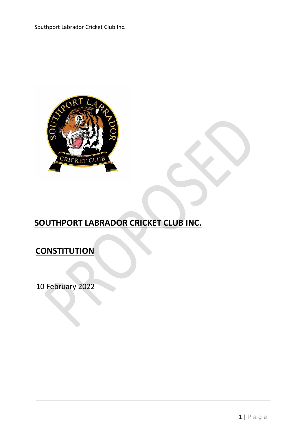

# **SOUTHPORT LABRADOR CRICKET CLUB INC.**

## **CONSTITUTION**

10 February 2022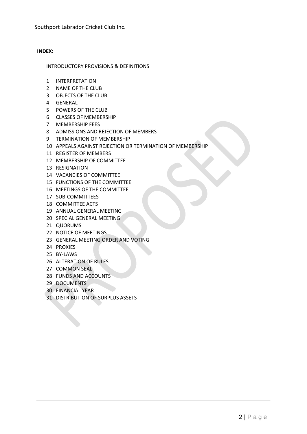### **INDEX:**

INTRODUCTORY PROVISIONS & DEFINITIONS

- INTERPRETATION
- NAME OF THE CLUB
- OBJECTS OF THE CLUB
- GENERAL
- POWERS OF THE CLUB
- CLASSES OF MEMBERSHIP
- MEMBERSHIP FEES
- ADMISSIONS AND REJECTION OF MEMBERS
- TERMINATION OF MEMBERSHIP
- APPEALS AGAINST REJECTION OR TERMINATION OF MEMBERSHIP
- REGISTER OF MEMBERS
- MEMBERSHIP OF COMMITTEE
- RESIGNATION
- VACANCIES OF COMMITTEE
- FUNCTIONS OF THE COMMITTEE
- MEETINGS OF THE COMMITTEE
- SUB-COMMITTEES
- COMMITTEE ACTS
- ANNUAL GENERAL MEETING
- SPECIAL GENERAL MEETING
- QUORUMS
- NOTICE OF MEETINGS
- GENERAL MEETING ORDER AND VOTING
- PROXIES
- BY-LAWS
- ALTERATION OF RULES
- COMMON SEAL
- FUNDS AND ACCOUNTS
- DOCUMENTS
- FINANCIAL YEAR
- DISTRIBUTION OF SURPLUS ASSETS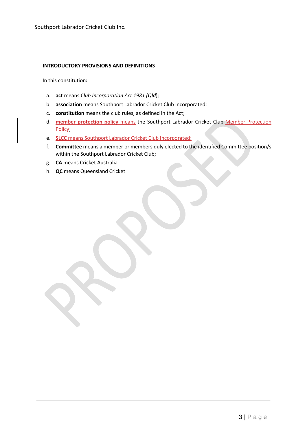## **INTRODUCTORY PROVISIONS AND DEFINITIONS**

In this constitution**:** 

- a. **act** means *Club Incorporation Act 1981 (Qld*);
- b. **association** means Southport Labrador Cricket Club Incorporated;
- c. **constitution** means the club rules, as defined in the Act;
- d. **member protection policy** means the Southport Labrador Cricket Club Member Protection Policy;
- e. **SLCC** means Southport Labrador Cricket Club Incorporated;
- f. **Committee** means a member or members duly elected to the identified Committee position/s within the Southport Labrador Cricket Club;
- g. **CA** means Cricket Australia
- h. **QC** means Queensland Cricket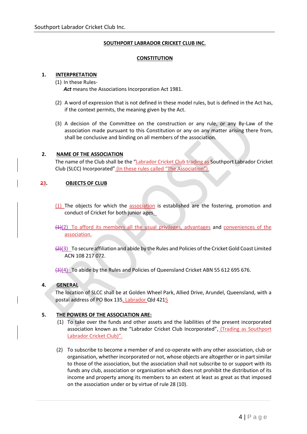## **SOUTHPORT LABRADOR CRICKET CLUB INC.**

## **CONSTITUTION**

## **1. INTERPRETATION**

- (1) In these Rules-*Act* means the Associations Incorporation Act 1981.
- (2) A word of expression that is not defined in these model rules, but is defined in the Act has, if the context permits, the meaning given by the Act.
- (3) A decision of the Committee on the construction or any rule, or any By-Law of the association made pursuant to this Constitution or any on any matter arising there from, shall be conclusive and binding on all members of the association.

## **2. NAME OF THE ASSOCIATION**

The name of the Club shall be the "Labrador Cricket Club trading as Southport Labrador Cricket Club (SLCC) Incorporated" (In these rules called "The Association").

#### **23. OBJECTS OF CLUB**

- (1) The objects for which the association is established are the fostering, promotion and conduct of Cricket for both junior ages.
- $(4)$ (2) To afford its members all the usual privileges, advantages and conveniences of the association.
- $(2)(3)$  To secure affiliation and abide by the Rules and Policies of the Cricket Gold Coast Limited ACN 108 217 072.

(3)(4) To abide by the Rules and Policies of Queensland Cricket ABN 55 612 695 676.

## **4. GENERAL**

The location of SLCC shall be at Golden Wheel Park, Allied Drive, Arundel, Queensland, with a postal address of PO Box 135, Labrador Qld 4215

## **5. THE POWERS OF THE ASSOCIATION ARE:**

- (1) To take over the funds and other assets and the liabilities of the present incorporated association known as the "Labrador Cricket Club Incorporated", (Trading as Southport Labrador Cricket Club)".
- (2) To subscribe to become a member of and co-operate with any other association, club or organisation, whether incorporated or not, whose objects are altogether or in part similar to those of the association, but the association shall not subscribe to or support with its funds any club, association or organisation which does not prohibit the distribution of its income and property among its members to an extent at least as great as that imposed on the association under or by virtue of rule 28 (10).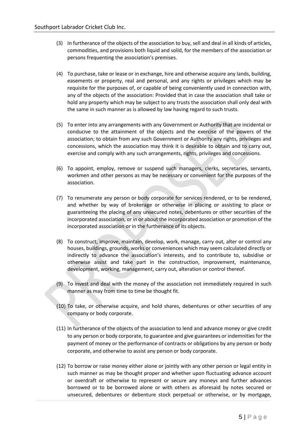- (3) In furtherance of the objects of the association to buy, sell and deal in all kinds of articles, commodities, and provisions both liquid and solid, for the members of the association or persons frequenting the association's premises.
- (4) To purchase, take or lease or in exchange, hire and otherwise acquire any lands, building, easements or property, real and personal, and any rights or privileges which may be requisite for the purposes of, or capable of being conveniently used in connection with, any of the objects of the association: Provided that in case the association shall take or hold any property which may be subject to any trusts the association shall only deal with the same in such manner as is allowed by law having regard to such trusts.
- (5) To enter into any arrangements with any Government or Authority that are incidental or conducive to the attainment of the objects and the exercise of the powers of the association; to obtain from any such Government or Authority any rights, privileges and concessions, which the association may think it is desirable to obtain and to carry out, exercise and comply with any such arrangements, rights, privileges and concessions.
- (6) To appoint, employ, remove or suspend such managers, clerks, secretaries, servants, workmen and other persons as may be necessary or convenient for the purposes of the association.
- (7) To renumerate any person or body corporate for services rendered, or to be rendered, and whether by way of brokerage or otherwise in placing or assisting to place or guaranteeing the placing of any unsecured notes, debentures or other securities of the incorporated association, or in or about the incorporated association or promotion of the incorporated association or in the furtherance of its objects.
- (8) To construct, improve, maintain, develop, work, manage, carry out, alter or control any houses, buildings, grounds, works or conveniences which may seem calculated directly or indirectly to advance the association's interests, and to contribute to, subsidise or otherwise assist and take part in the construction, improvement, maintenance, development, working, management, carry out, alteration or control thereof.
- (9) To invest and deal with the money of the association not immediately required in such manner as may from time to time be thought fit.
- (10) To take, or otherwise acquire, and hold shares, debentures or other securities of any company or body corporate.
- (11) In furtherance of the objects of the association to lend and advance money or give credit to any person or body corporate, to guarantee and give guarantees or indemnities for the payment of money or the performance of contracts or obligations by any person or body corporate, and otherwise to assist any person or body corporate.
- (12) To borrow or raise money either alone or jointly with any other person or legal entity in such manner as may be thought proper and whether upon fluctuating advance account or overdraft or otherwise to represent or secure any moneys and further advances borrowed or to be borrowed alone or with others as aforesaid by notes secured or unsecured, debentures or debenture stock perpetual or otherwise, or by mortgage,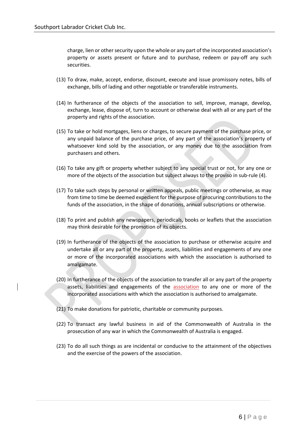charge, lien or other security upon the whole or any part of the incorporated association's property or assets present or future and to purchase, redeem or pay-off any such securities.

- (13) To draw, make, accept, endorse, discount, execute and issue promissory notes, bills of exchange, bills of lading and other negotiable or transferable instruments.
- (14) In furtherance of the objects of the association to sell, improve, manage, develop, exchange, lease, dispose of, turn to account or otherwise deal with all or any part of the property and rights of the association.
- (15) To take or hold mortgages, liens or charges, to secure payment of the purchase price, or any unpaid balance of the purchase price, of any part of the association's property of whatsoever kind sold by the association, or any money due to the association from purchasers and others.
- (16) To take any gift or property whether subject to any special trust or not, for any one or more of the objects of the association but subject always to the proviso in sub-rule (4).
- (17) To take such steps by personal or written appeals, public meetings or otherwise, as may from time to time be deemed expedient for the purpose of procuring contributions to the funds of the association, in the shape of donations, annual subscriptions or otherwise.
- (18) To print and publish any newspapers, periodicals, books or leaflets that the association may think desirable for the promotion of its objects.
- (19) In furtherance of the objects of the association to purchase or otherwise acquire and undertake all or any part of the property, assets, liabilities and engagements of any one or more of the incorporated associations with which the association is authorised to amalgamate.
- (20) In furtherance of the objects of the association to transfer all or any part of the property assets, liabilities and engagements of the association to any one or more of the incorporated associations with which the association is authorised to amalgamate.
- (21) To make donations for patriotic, charitable or community purposes.
- (22) To transact any lawful business in aid of the Commonwealth of Australia in the prosecution of any war in which the Commonwealth of Australia is engaged.
- (23) To do all such things as are incidental or conducive to the attainment of the objectives and the exercise of the powers of the association.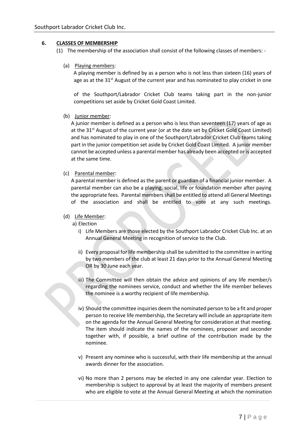## **6. CLASSES OF MEMBERSHIP**

(1) The membership of the association shall consist of the following classes of members: -

(a) Playing members:

A playing member is defined by as a person who is not less than sixteen (16) years of age as at the  $31<sup>st</sup>$  August of the current year and has nominated to play cricket in one

of the Southport/Labrador Cricket Club teams taking part in the non-junior competitions set aside by Cricket Gold Coast Limited.

## (b) Junior member:

A junior member is defined as a person who is less than seventeen (17) years of age as at the 31<sup>st</sup> August of the current year (or at the date set by Cricket Gold Coast Limited) and has nominated to play in one of the Southport/Labrador Cricket Club teams taking part in the junior competition set aside by Cricket Gold Coast Limited. A junior member cannot be accepted unless a parental member has already been accepted or is accepted at the same time.

## (c) Parental member:

A parental member is defined as the parent or guardian of a financial junior member. A parental member can also be a playing, social, life or foundation member after paying the appropriate fees. Parental members shall be entitled to attend all General Meetings of the association and shall be entitled to vote at any such meetings.

## (d) Life Member:

a) Election

- i) Life Members are those elected by the Southport Labrador Cricket Club Inc. at an Annual General Meeting in recognition of service to the Club.
- ii) Every proposal for life membership shall be submitted to the committee in writing by two members of the club at least 21 days prior to the Annual General Meeting OR by 30 June each year.
- iii) The Committee will then obtain the advice and opinions of any life member/s regarding the nominees service, conduct and whether the life member believes the nominee is a worthy recipient of life membership.
- iv) Should the committee inquiries deem the nominated person to be a fit and proper person to receive life membership, the Secretary will include an appropriate item on the agenda for the Annual General Meeting for consideration at that meeting. The item should indicate the names of the nominees, proposer and seconder together with, if possible, a brief outline of the contribution made by the nominee.
- v) Present any nominee who is successful, with their life membership at the annual awards dinner for the association.
- vi) No more than 2 persons may be elected in any one calendar year. Election to membership is subject to approval by at least the majority of members present who are eligible to vote at the Annual General Meeting at which the nomination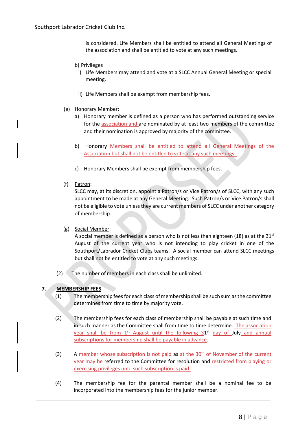is considered. Life Members shall be entitled to attend all General Meetings of the association and shall be entitled to vote at any such meetings.

#### b) Privileges

- i) Life Members may attend and vote at a SLCC Annual General Meeting or special meeting.
- ii) Life Members shall be exempt from membership fees.
- (e) Honorary Member:
	- a) Honorary member is defined as a person who has performed outstanding service for the association and are nominated by at least two members of the committee and their nomination is approved by majority of the committee.
	- b) Honorary Members shall be entitled to attend all General Meetings of the Association but shall not be entitled to vote at any such meetings.
	- c) Honorary Members shall be exempt from membership fees.
- (f) Patron:

SLCC may, at its discretion, appoint a Patron/s or Vice Patron/s of SLCC, with any such appointment to be made at any General Meeting. Such Patron/s or Vice Patron/s shall not be eligible to vote unless they are current members of SLCC under another category of membership.

(g) Social Member:

A social member is defined as a person who is not less than eighteen (18) as at the  $31<sup>st</sup>$ August of the current year who is not intending to play cricket in one of the Southport/Labrador Cricket Clubs teams. A social member can attend SLCC meetings but shall not be entitled to vote at any such meetings.

(2) The number of members in each class shall be unlimited.

## **7. MEMBERSHIP FEES**

- $(1)$  The membership fees for each class of membership shall be such sum as the committee determines from time to time by majority vote.
- (2) The membership fees for each class of membership shall be payable at such time and in such manner as the Committee shall from time to time determine. The association year shall be from 1<sup>st</sup> August until the following 31<sup>st</sup> day of July and annual subscriptions for membership shall be payable in advance.
- (3) A member whose subscription is not paid as at the  $30<sup>th</sup>$  of November of the current year may be referred to the Committee for resolution and restricted from playing or exercising privileges until such subscription is paid.
- (4) The membership fee for the parental member shall be a nominal fee to be incorporated into the membership fees for the junior member.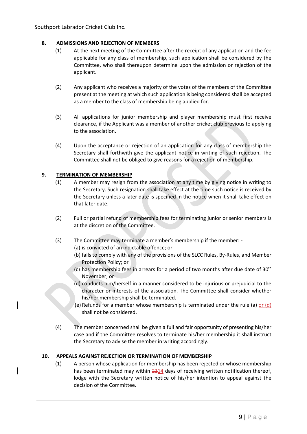## **8. ADMISSIONS AND REJECTION OF MEMBERS**

- (1) At the next meeting of the Committee after the receipt of any application and the fee applicable for any class of membership, such application shall be considered by the Committee, who shall thereupon determine upon the admission or rejection of the applicant.
- (2) Any applicant who receives a majority of the votes of the members of the Committee present at the meeting at which such application is being considered shall be accepted as a member to the class of membership being applied for.
- (3) All applications for junior membership and player membership must first receive clearance, if the Applicant was a member of another cricket club previous to applying to the association.
- (4) Upon the acceptance or rejection of an application for any class of membership the Secretary shall forthwith give the applicant notice in writing of such rejection. The Committee shall not be obliged to give reasons for a rejection of membership.

## **9. TERMINATION OF MEMBERSHIP**

- (1) A member may resign from the association at any time by giving notice in writing to the Secretary. Such resignation shall take effect at the time such notice is received by the Secretary unless a later date is specified in the notice when it shall take effect on that later date.
- (2) Full or partial refund of membership fees for terminating junior or senior members is at the discretion of the Committee.
- (3) The Committee may terminate a member's membership if the member:
	- (a) is convicted of an indictable offence; or
	- (b) fails to comply with any of the provisions of the SLCC Rules, By-Rules, and Member Protection Policy; or
	- (c) has membership fees in arrears for a period of two months after due date of  $30<sup>th</sup>$ November; or
	- (d) conducts him/herself in a manner considered to be injurious or prejudicial to the character or interests of the association. The Committee shall consider whether his/her membership shall be terminated.
	- (e) Refunds for a member whose membership is terminated under the rule (a) or  $(d)$ shall not be considered.
- (4) The member concerned shall be given a full and fair opportunity of presenting his/her case and if the Committee resolves to terminate his/her membership it shall instruct the Secretary to advise the member in writing accordingly.

#### **10. APPEALS AGAINST REJECTION OR TERMINATION OF MEMBERSHIP**

(1) A person whose application for membership has been rejected or whose membership has been terminated may within 2114 days of receiving written notification thereof, lodge with the Secretary written notice of his/her intention to appeal against the decision of the Committee.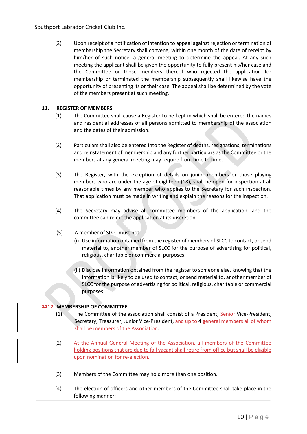(2) Upon receipt of a notification of intention to appeal against rejection or termination of membership the Secretary shall convene, within one month of the date of receipt by him/her of such notice, a general meeting to determine the appeal. At any such meeting the applicant shall be given the opportunity to fully present his/her case and the Committee or those members thereof who rejected the application for membership or terminated the membership subsequently shall likewise have the opportunity of presenting its or their case. The appeal shall be determined by the vote of the members present at such meeting.

## **11. REGISTER OF MEMBERS**

- (1) The Committee shall cause a Register to be kept in which shall be entered the names and residential addresses of all persons admitted to membership of the association and the dates of their admission.
- (2) Particulars shall also be entered into the Register of deaths, resignations, terminations and reinstatement of membership and any further particulars as the Committee or the members at any general meeting may require from time to time.
- (3) The Register, with the exception of details on junior members or those playing members who are under the age of eighteen (18), shall be open for inspection at all reasonable times by any member who applies to the Secretary for such inspection. That application must be made in writing and explain the reasons for the inspection.
- (4) The Secretary may advise all committee members of the application, and the committee can reject the application at its discretion.
- (5) A member of SLCC must not:
	- (i) Use information obtained from the register of members of SLCC to contact, or send material to, another member of SLCC for the purpose of advertising for political, religious, charitable or commercial purposes.
	- (ii) Disclose information obtained from the register to someone else, knowing that the information is likely to be used to contact, or send material to, another member of SLCC for the purpose of advertising for political, religious, charitable or commercial purposes.

## **1112. MEMBERSHIP OF COMMITTEE**

- (1) The Committee of the association shall consist of a President, Senior Vice-President, Secretary, Treasurer, Junior Vice-President, and up to 4 general members all of whom shall be members of the Association.
- (2) At the Annual General Meeting of the Association, all members of the Committee holding positions that are due to fall vacant shall retire from office but shall be eligible upon nomination for re-election.
- (3) Members of the Committee may hold more than one position.
- (4) The election of officers and other members of the Committee shall take place in the following manner: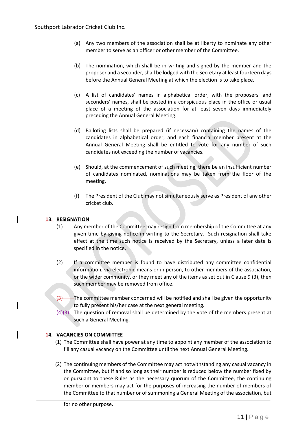- (a) Any two members of the association shall be at liberty to nominate any other member to serve as an officer or other member of the Committee.
- (b) The nomination, which shall be in writing and signed by the member and the proposer and a seconder, shall be lodged with the Secretary at least fourteen days before the Annual General Meeting at which the election is to take place.
- (c) A list of candidates' names in alphabetical order, with the proposers' and seconders' names, shall be posted in a conspicuous place in the office or usual place of a meeting of the association for at least seven days immediately preceding the Annual General Meeting.
- (d) Balloting lists shall be prepared (if necessary) containing the names of the candidates in alphabetical order, and each financial member present at the Annual General Meeting shall be entitled to vote for any number of such candidates not exceeding the number of vacancies.
- (e) Should, at the commencement of such meeting, there be an insufficient number of candidates nominated, nominations may be taken from the floor of the meeting.
- (f) The President of the Club may not simultaneously serve as President of any other cricket club.

## **13. RESIGNATION**

- (1) Any member of the Committee may resign from membership of the Committee at any given time by giving notice in writing to the Secretary. Such resignation shall take effect at the time such notice is received by the Secretary, unless a later date is specified in the notice.
- (2) If a committee member is found to have distributed any committee confidential information, via electronic means or in person, to other members of the association, or the wider community, or they meet any of the items as set out in Clause 9 (3), then such member may be removed from office.
- $\left(3\right)$  The committee member concerned will be notified and shall be given the opportunity to fully present his/her case at the next general meeting.
- $(4)(3)$  The question of removal shall be determined by the vote of the members present at such a General Meeting.

## **14. VACANCIES ON COMMITTEE**

- (1) The Committee shall have power at any time to appoint any member of the association to fill any casual vacancy on the Committee until the next Annual General Meeting.
- (2) The continuing members of the Committee may act notwithstanding any casual vacancy in the Committee, but if and so long as their number is reduced below the number fixed by or pursuant to these Rules as the necessary quorum of the Committee, the continuing member or members may act for the purposes of increasing the number of members of the Committee to that number or of summoning a General Meeting of the association, but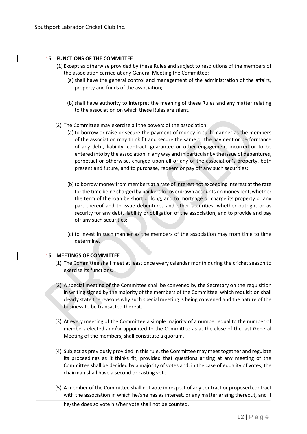## **15. FUNCTIONS OF THE COMMITTEE**

- (1) Except as otherwise provided by these Rules and subject to resolutions of the members of the association carried at any General Meeting the Committee:
	- (a) shall have the general control and management of the administration of the affairs, property and funds of the association;
	- (b) shall have authority to interpret the meaning of these Rules and any matter relating to the association on which these Rules are silent.
- (2) The Committee may exercise all the powers of the association:
	- (a) to borrow or raise or secure the payment of money in such manner as the members of the association may think fit and secure the same or the payment or performance of any debt, liability, contract, guarantee or other engagement incurred or to be entered into by the association in any way and in particular by the issue of debentures, perpetual or otherwise, charged upon all or any of the association's property, both present and future, and to purchase, redeem or pay off any such securities;
	- (b)to borrow money from members at a rate of interest not exceeding interest at the rate for the time being charged by bankers for overdrawn accounts on money lent, whether the term of the loan be short or long, and to mortgage or charge its property or any part thereof and to issue debentures and other securities, whether outright or as security for any debt, liability or obligation of the association, and to provide and pay off any such securities;
	- (c) to invest in such manner as the members of the association may from time to time determine.

#### **16. MEETINGS OF COMMITTEE**

- (1) The Committee shall meet at least once every calendar month during the cricket season to exercise its functions.
- (2) A special meeting of the Committee shall be convened by the Secretary on the requisition in writing signed by the majority of the members of the Committee, which requisition shall clearly state the reasons why such special meeting is being convened and the nature of the business to be transacted thereat.
- (3) At every meeting of the Committee a simple majority of a number equal to the number of members elected and/or appointed to the Committee as at the close of the last General Meeting of the members, shall constitute a quorum.
- (4) Subject as previously provided in this rule, the Committee may meet together and regulate its proceedings as it thinks fit, provided that questions arising at any meeting of the Committee shall be decided by a majority of votes and, in the case of equality of votes, the chairman shall have a second or casting vote.
- (5) A member of the Committee shall not vote in respect of any contract or proposed contract with the association in which he/she has as interest, or any matter arising thereout, and if he/she does so vote his/her vote shall not be counted.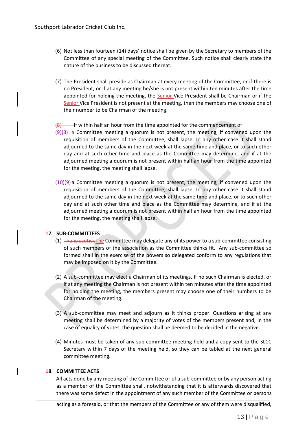- (6) Not less than fourteen (14) days' notice shall be given by the Secretary to members of the Committee of any special meeting of the Committee. Such notice shall clearly state the nature of the business to be discussed thereat.
- (7) The President shall preside as Chairman at every meeting of the Committee, or if there is no President, or if at any meeting he/she is not present within ten minutes after the time appointed for holding the meeting, the Senior Vice President shall be Chairman or if the Senior Vice President is not present at the meeting, then the members may choose one of their number to be Chairman of the meeting.

#### $(8)$  If within half an hour from the time appointed for the commencement of

- $(9)$ (8) a Committee meeting a quorum is not present, the meeting, if convened upon the requisition of members of the Committee, shall lapse. In any other case it shall stand adjourned to the same day in the next week at the same time and place, or to such other day and at such other time and place as the Committee may determine, and if at the adjourned meeting a quorum is not present within half an hour from the time appointed for the meeting, the meeting shall lapse.
- $(10)(9)$  a Committee meeting a quorum is not present, the meeting, if convened upon the requisition of members of the Committee, shall lapse. In any other case it shall stand adjourned to the same day in the next week at the same time and place, or to such other day and at such other time and place as the Committee may determine, and if at the adjourned meeting a quorum is not present within half an hour from the time appointed for the meeting, the meeting shall lapse.

#### **17. SUB-COMMITTEES**

- (1) The Executive The Committee may delegate any of its power to a sub-committee consisting of such members of the association as the Committee thinks fit. Any sub-committee so formed shall in the exercise of the powers so delegated conform to any regulations that may be imposed on it by the Committee.
- (2) A sub-committee may elect a Chairman of its meetings. If no such Chairman is elected, or if at any meeting the Chairman is not present within ten minutes after the time appointed for holding the meeting, the members present may choose one of their numbers to be Chairman of the meeting.
- (3) A sub-committee may meet and adjourn as it thinks proper. Questions arising at any meeting shall be determined by a majority of votes of the members present and, in the case of equality of votes, the question shall be deemed to be decided in the negative.
- (4) Minutes must be taken of any sub-committee meeting held and a copy sent to the SLCC Secretary within 7 days of the meeting held, so they can be tabled at the next general committee meeting.

#### **18. COMMITTEE ACTS**

All acts done by any meeting of the Committee or of a sub-committee or by any person acting as a member of the Committee shall, notwithstanding that it is afterwards discovered that there was some defect in the appointment of any such member of the Committee or persons

acting as a foresaid, or that the members of the Committee or any of them were disqualified,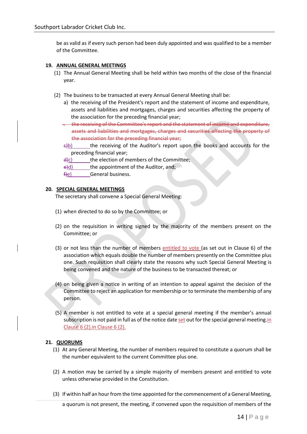be as valid as if every such person had been duly appointed and was qualified to be a member of the Committee.

## **19. ANNUAL GENERAL MEETINGS**

- (1) The Annual General Meeting shall be held within two months of the close of the financial year.
- (2) The business to be transacted at every Annual General Meeting shall be:
	- a) the receiving of the President's report and the statement of income and expenditure, assets and liabilities and mortgages, charges and securities affecting the property of the association for the preceding financial year;
	- . the receiving of the Committee's report and the statement of income and expenditure, assets and liabilities and mortgages, charges and securities affecting the property of the association for the preceding financial year;
	- $\epsilon$ b) the receiving of the Auditor's report upon the books and accounts for the preceding financial year;
	- $\frac{d}{dx}$  the election of members of the Committee;
	- $\epsilon$  e)d) the appointment of the Auditor, and;
	- f)e) General business.

## **20. SPECIAL GENERAL MEETINGS**

The secretary shall convene a Special General Meeting:

- (1) when directed to do so by the Committee; or
- (2) on the requisition in writing signed by the majority of the members present on the Committee; or
- (3) or not less than the number of members entitled to vote (as set out in Clause 6) of the association which equals double the number of members presently on the Committee plus one. Such requisition shall clearly state the reasons why such Special General Meeting is being convened and the nature of the business to be transacted thereat; or
- (4) on being given a notice in writing of an intention to appeal against the decision of the Committee to reject an application for membership or to terminate the membership of any person.
- (5) A member is not entitled to vote at a special general meeting if the member's annual subscription is not paid in full as of the notice date set out for the special general meeting.in Clause 6 (2).in Clause 6 (2).

## **21. QUORUMS**

- (1) At any General Meeting, the number of members required to constitute a quorum shall be the number equivalent to the current Committee plus one.
- (2) A motion may be carried by a simple majority of members present and entitled to vote unless otherwise provided in the Constitution.
- (3) If within half an hour from the time appointed for the commencement of a General Meeting,

a quorum is not present, the meeting, if convened upon the requisition of members of the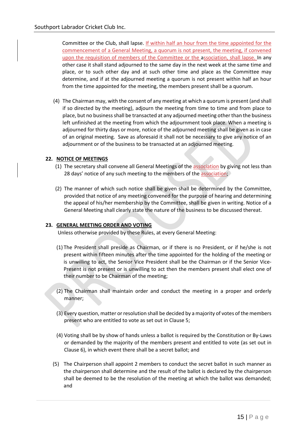Committee or the Club, shall lapse. If within half an hour from the time appointed for the commencement of a General Meeting, a quorum is not present, the meeting, if convened upon the requisition of members of the Committee or the association, shall lapse. In any other case it shall stand adjourned to the same day in the next week at the same time and place, or to such other day and at such other time and place as the Committee may determine, and if at the adjourned meeting a quorum is not present within half an hour from the time appointed for the meeting, the members present shall be a quorum.

(4) The Chairman may, with the consent of any meeting at which a quorum is present (and shall if so directed by the meeting), adjourn the meeting from time to time and from place to place, but no business shall be transacted at any adjourned meeting other than the business left unfinished at the meeting from which the adjournment took place. When a meeting is adjourned for thirty days or more, notice of the adjourned meeting shall be given as in case of an original meeting. Save as aforesaid it shall not be necessary to give any notice of an adjournment or of the business to be transacted at an adjourned meeting.

## **22. NOTICE OF MEETINGS**

- (1) The secretary shall convene all General Meetings of the association by giving not less than 28 days' notice of any such meeting to the members of the association;
- (2) The manner of which such notice shall be given shall be determined by the Committee, provided that notice of any meeting convened for the purpose of hearing and determining the appeal of his/her membership by the Committee, shall be given in writing. Notice of a General Meeting shall clearly state the nature of the business to be discussed thereat.

#### **23. GENERAL MEETING ORDER AND VOTING**

Unless otherwise provided by these Rules, at every General Meeting:

- (1) The President shall preside as Chairman, or if there is no President, or if he/she is not present within fifteen minutes after the time appointed for the holding of the meeting or is unwilling to act, the Senior Vice President shall be the Chairman or if the Senior Vice-Present is not present or is unwilling to act then the members present shall elect one of their number to be Chairman of the meeting;
- (2) The Chairman shall maintain order and conduct the meeting in a proper and orderly manner;
- (3) Every question, matter or resolution shall be decided by a majority of votes of the members present who are entitled to vote as set out in Clause 5;
- (4) Voting shall be by show of hands unless a ballot is required by the Constitution or By-Laws or demanded by the majority of the members present and entitled to vote (as set out in Clause 6), in which event there shall be a secret ballot; and
- (5) The Chairperson shall appoint 2 members to conduct the secret ballot in such manner as the chairperson shall determine and the result of the ballot is declared by the chairperson shall be deemed to be the resolution of the meeting at which the ballot was demanded; and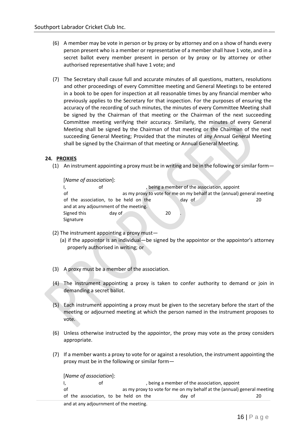- (6) A member may be vote in person or by proxy or by attorney and on a show of hands every person present who is a member or representative of a member shall have 1 vote, and in a secret ballot every member present in person or by proxy or by attorney or other authorised representative shall have 1 vote; and
- (7) The Secretary shall cause full and accurate minutes of all questions, matters, resolutions and other proceedings of every Committee meeting and General Meetings to be entered in a book to be open for inspection at all reasonable times by any financial member who previously applies to the Secretary for that inspection. For the purposes of ensuring the accuracy of the recording of such minutes, the minutes of every Committee Meeting shall be signed by the Chairman of that meeting or the Chairman of the next succeeding Committee meeting verifying their accuracy. Similarly, the minutes of every General Meeting shall be signed by the Chairman of that meeting or the Chairman of the next succeeding General Meeting; Provided that the minutes of any Annual General Meeting shall be signed by the Chairman of that meeting or Annual General Meeting.

## **24. PROXIES**

(1) An instrument appointing a proxy must be in writing and be in the following or similar form—

[*Name of association*]: I, and of the association, appoint of the association, appoint of as my proxy to vote for me on my behalf at the (annual) general meeting of the association, to be held on the day of 20 and at any adjournment of the meeting. Signed this day of 20 Signature

- (2) The instrument appointing a proxy must—
	- (a) if the appointor is an individual—be signed by the appointor or the appointor's attorney properly authorised in writing; or
- (3) A proxy must be a member of the association.
- (4) The instrument appointing a proxy is taken to confer authority to demand or join in demanding a secret ballot.
- (5) Each instrument appointing a proxy must be given to the secretary before the start of the meeting or adjourned meeting at which the person named in the instrument proposes to vote.
- (6) Unless otherwise instructed by the appointor, the proxy may vote as the proxy considers appropriate.
- (7) If a member wants a proxy to vote for or against a resolution, the instrument appointing the proxy must be in the following or similar form—

[*Name of association*]:

|                                        | ot                                    | , being a member of the association, appoint                            |        |  |  |
|----------------------------------------|---------------------------------------|-------------------------------------------------------------------------|--------|--|--|
| of                                     |                                       | as my proxy to vote for me on my behalf at the (annual) general meeting |        |  |  |
|                                        | of the association, to be held on the |                                                                         | dav of |  |  |
| and at any adjournment of the meeting. |                                       |                                                                         |        |  |  |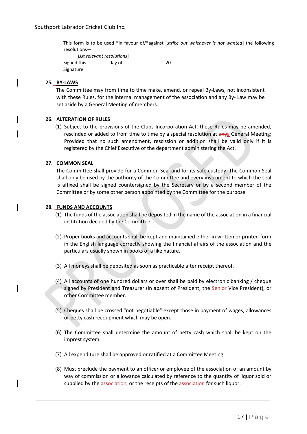This form is to be used \*in favour of/\*against [*strike out whichever is not wanted*] the following resolutions—

 [*List relevant resolutions*] Signed this day of 20 Signature

## **25. BY-LAWS**

The Committee may from time to time make, amend, or repeal By-Laws, not inconsistent with these Rules, for the internal management of the association and any By- Law may be set aside by a General Meeting of members.

#### **26. ALTERATION OF RULES**

(1) Subject to the provisions of the Clubs Incorporation Act, these Rules may be amended, rescinded or added to from time to time by a special resolution at anya General Meeting; Provided that no such amendment, rescission or addition shall be valid only if it is registered by the Chief Executive of the department administering the Act.

#### **27. COMMON SEAL**

The Committee shall provide for a Common Seal and for its safe custody. The Common Seal shall only be used by the authority of the Committee and every instrument to which the seal is affixed shall be signed countersigned by the Secretary or by a second member of the Committee or by some other person appointed by the Committee for the purpose.

#### **28. FUNDS AND ACCOUNTS**

- (1) The funds of the association shall be deposited in the name of the association in a financial institution decided by the Committee.
- (2) Proper books and accounts shall be kept and maintained either in written or printed form in the English language correctly showing the financial affairs of the association and the particulars usually shown in books of a like nature.
- (3) All moneys shall be deposited as soon as practicable after receipt thereof.
- (4) All accounts of one hundred dollars or over shall be paid by electronic banking / cheque signed by President and Treasurer (in absent of President, the **Senior** Vice President), or other Committee member.
- (5) Cheques shall be crossed "not negotiable" except those in payment of wages, allowances or petty cash recoupment which may be open.
- (6) The Committee shall determine the amount of petty cash which shall be kept on the imprest system.
- (7) All expenditure shall be approved or ratified at a Committee Meeting.
- (8) Must preclude the payment to an officer or employee of the association of an amount by way of commission or allowance calculated by reference to the quantity of liquor sold or supplied by the association, or the receipts of the association for such liquor.